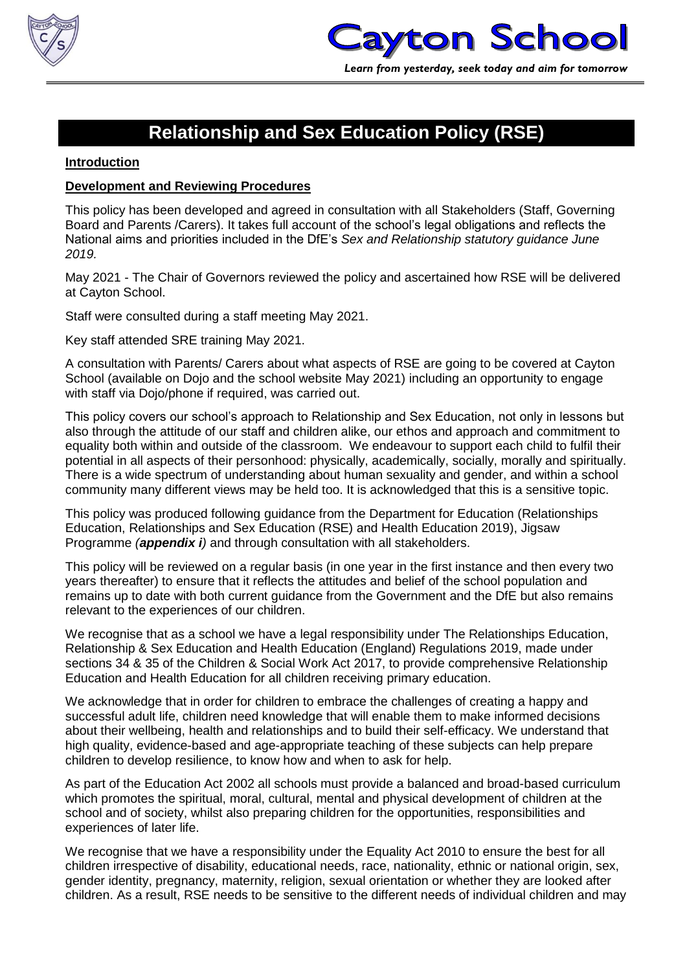

### **Relationship and Sex Education Policy (RSE)**

#### **Introduction**

### **Development and Reviewing Procedures**

This policy has been developed and agreed in consultation with all Stakeholders (Staff, Governing Board and Parents /Carers). It takes full account of the school's legal obligations and reflects the National aims and priorities included in the DfE's *Sex and Relationship statutory guidance June 2019.*

May 2021 - The Chair of Governors reviewed the policy and ascertained how RSE will be delivered at Cayton School.

Staff were consulted during a staff meeting May 2021.

Key staff attended SRE training May 2021.

A consultation with Parents/ Carers about what aspects of RSE are going to be covered at Cayton School (available on Dojo and the school website May 2021) including an opportunity to engage with staff via Dojo/phone if required, was carried out.

This policy covers our school's approach to Relationship and Sex Education, not only in lessons but also through the attitude of our staff and children alike, our ethos and approach and commitment to equality both within and outside of the classroom. We endeavour to support each child to fulfil their potential in all aspects of their personhood: physically, academically, socially, morally and spiritually. There is a wide spectrum of understanding about human sexuality and gender, and within a school community many different views may be held too. It is acknowledged that this is a sensitive topic.

This policy was produced following guidance from the Department for Education (Relationships Education, Relationships and Sex Education (RSE) and Health Education 2019), Jigsaw Programme *(appendix i)* and through consultation with all stakeholders.

This policy will be reviewed on a regular basis (in one year in the first instance and then every two years thereafter) to ensure that it reflects the attitudes and belief of the school population and remains up to date with both current guidance from the Government and the DfE but also remains relevant to the experiences of our children.

We recognise that as a school we have a legal responsibility under The Relationships Education, Relationship & Sex Education and Health Education (England) Regulations 2019, made under sections 34 & 35 of the Children & Social Work Act 2017, to provide comprehensive Relationship Education and Health Education for all children receiving primary education.

We acknowledge that in order for children to embrace the challenges of creating a happy and successful adult life, children need knowledge that will enable them to make informed decisions about their wellbeing, health and relationships and to build their self-efficacy. We understand that high quality, evidence-based and age-appropriate teaching of these subjects can help prepare children to develop resilience, to know how and when to ask for help.

As part of the Education Act 2002 all schools must provide a balanced and broad-based curriculum which promotes the spiritual, moral, cultural, mental and physical development of children at the school and of society, whilst also preparing children for the opportunities, responsibilities and experiences of later life.

We recognise that we have a responsibility under the Equality Act 2010 to ensure the best for all children irrespective of disability, educational needs, race, nationality, ethnic or national origin, sex, gender identity, pregnancy, maternity, religion, sexual orientation or whether they are looked after children. As a result, RSE needs to be sensitive to the different needs of individual children and may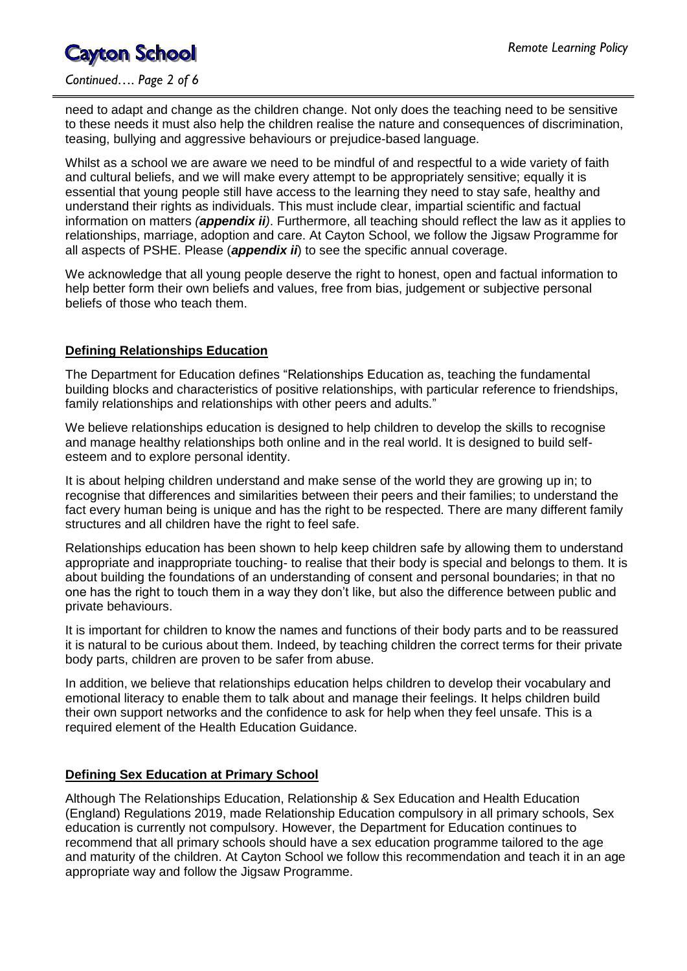### *Continued…. Page 2 of 6*

need to adapt and change as the children change. Not only does the teaching need to be sensitive to these needs it must also help the children realise the nature and consequences of discrimination, teasing, bullying and aggressive behaviours or prejudice-based language.

Whilst as a school we are aware we need to be mindful of and respectful to a wide variety of faith and cultural beliefs, and we will make every attempt to be appropriately sensitive; equally it is essential that young people still have access to the learning they need to stay safe, healthy and understand their rights as individuals. This must include clear, impartial scientific and factual information on matters *(appendix ii)*. Furthermore, all teaching should reflect the law as it applies to relationships, marriage, adoption and care. At Cayton School, we follow the Jigsaw Programme for all aspects of PSHE. Please (*appendix ii*) to see the specific annual coverage.

We acknowledge that all young people deserve the right to honest, open and factual information to help better form their own beliefs and values, free from bias, judgement or subjective personal beliefs of those who teach them.

### **Defining Relationships Education**

The Department for Education defines "Relationships Education as, teaching the fundamental building blocks and characteristics of positive relationships, with particular reference to friendships, family relationships and relationships with other peers and adults."

We believe relationships education is designed to help children to develop the skills to recognise and manage healthy relationships both online and in the real world. It is designed to build selfesteem and to explore personal identity.

It is about helping children understand and make sense of the world they are growing up in; to recognise that differences and similarities between their peers and their families; to understand the fact every human being is unique and has the right to be respected. There are many different family structures and all children have the right to feel safe.

Relationships education has been shown to help keep children safe by allowing them to understand appropriate and inappropriate touching- to realise that their body is special and belongs to them. It is about building the foundations of an understanding of consent and personal boundaries; in that no one has the right to touch them in a way they don't like, but also the difference between public and private behaviours.

It is important for children to know the names and functions of their body parts and to be reassured it is natural to be curious about them. Indeed, by teaching children the correct terms for their private body parts, children are proven to be safer from abuse.

In addition, we believe that relationships education helps children to develop their vocabulary and emotional literacy to enable them to talk about and manage their feelings. It helps children build their own support networks and the confidence to ask for help when they feel unsafe. This is a required element of the Health Education Guidance.

### **Defining Sex Education at Primary School**

Although The Relationships Education, Relationship & Sex Education and Health Education (England) Regulations 2019, made Relationship Education compulsory in all primary schools, Sex education is currently not compulsory. However, the Department for Education continues to recommend that all primary schools should have a sex education programme tailored to the age and maturity of the children. At Cayton School we follow this recommendation and teach it in an age appropriate way and follow the Jigsaw Programme.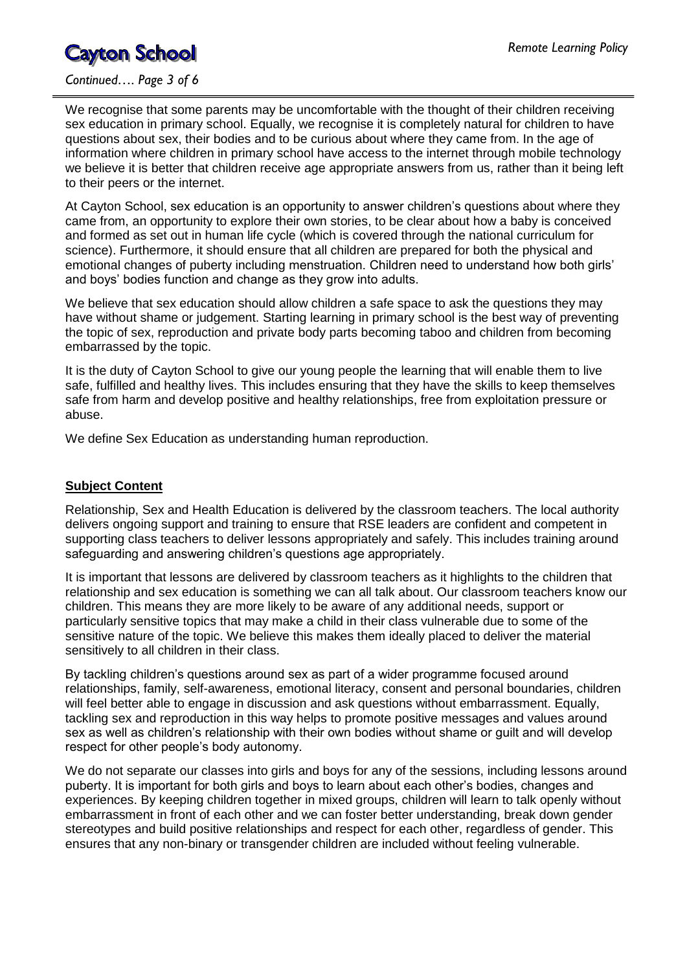#### *Continued…. Page 3 of 6*

We recognise that some parents may be uncomfortable with the thought of their children receiving sex education in primary school. Equally, we recognise it is completely natural for children to have questions about sex, their bodies and to be curious about where they came from. In the age of information where children in primary school have access to the internet through mobile technology we believe it is better that children receive age appropriate answers from us, rather than it being left to their peers or the internet.

At Cayton School, sex education is an opportunity to answer children's questions about where they came from, an opportunity to explore their own stories, to be clear about how a baby is conceived and formed as set out in human life cycle (which is covered through the national curriculum for science). Furthermore, it should ensure that all children are prepared for both the physical and emotional changes of puberty including menstruation. Children need to understand how both girls' and boys' bodies function and change as they grow into adults.

We believe that sex education should allow children a safe space to ask the questions they may have without shame or judgement. Starting learning in primary school is the best way of preventing the topic of sex, reproduction and private body parts becoming taboo and children from becoming embarrassed by the topic.

It is the duty of Cayton School to give our young people the learning that will enable them to live safe, fulfilled and healthy lives. This includes ensuring that they have the skills to keep themselves safe from harm and develop positive and healthy relationships, free from exploitation pressure or abuse.

We define Sex Education as understanding human reproduction.

### **Subject Content**

Relationship, Sex and Health Education is delivered by the classroom teachers. The local authority delivers ongoing support and training to ensure that RSE leaders are confident and competent in supporting class teachers to deliver lessons appropriately and safely. This includes training around safeguarding and answering children's questions age appropriately.

It is important that lessons are delivered by classroom teachers as it highlights to the children that relationship and sex education is something we can all talk about. Our classroom teachers know our children. This means they are more likely to be aware of any additional needs, support or particularly sensitive topics that may make a child in their class vulnerable due to some of the sensitive nature of the topic. We believe this makes them ideally placed to deliver the material sensitively to all children in their class.

By tackling children's questions around sex as part of a wider programme focused around relationships, family, self-awareness, emotional literacy, consent and personal boundaries, children will feel better able to engage in discussion and ask questions without embarrassment. Equally, tackling sex and reproduction in this way helps to promote positive messages and values around sex as well as children's relationship with their own bodies without shame or guilt and will develop respect for other people's body autonomy.

We do not separate our classes into girls and boys for any of the sessions, including lessons around puberty. It is important for both girls and boys to learn about each other's bodies, changes and experiences. By keeping children together in mixed groups, children will learn to talk openly without embarrassment in front of each other and we can foster better understanding, break down gender stereotypes and build positive relationships and respect for each other, regardless of gender. This ensures that any non-binary or transgender children are included without feeling vulnerable.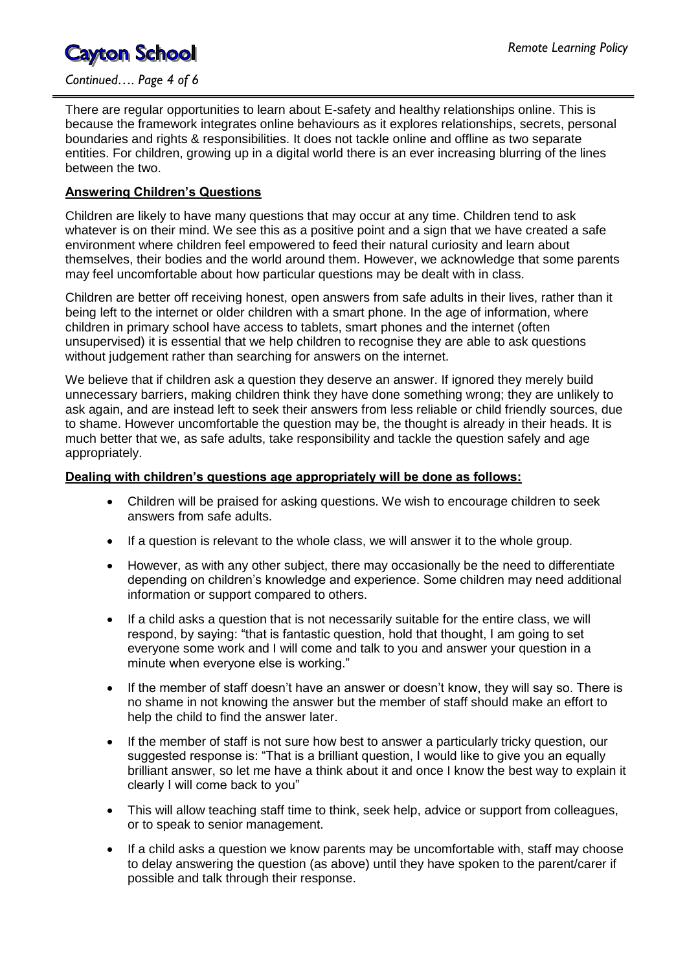*Continued…. Page 4 of 6*

There are regular opportunities to learn about E-safety and healthy relationships online. This is because the framework integrates online behaviours as it explores relationships, secrets, personal boundaries and rights & responsibilities. It does not tackle online and offline as two separate entities. For children, growing up in a digital world there is an ever increasing blurring of the lines between the two.

### **Answering Children's Questions**

Children are likely to have many questions that may occur at any time. Children tend to ask whatever is on their mind. We see this as a positive point and a sign that we have created a safe environment where children feel empowered to feed their natural curiosity and learn about themselves, their bodies and the world around them. However, we acknowledge that some parents may feel uncomfortable about how particular questions may be dealt with in class.

Children are better off receiving honest, open answers from safe adults in their lives, rather than it being left to the internet or older children with a smart phone. In the age of information, where children in primary school have access to tablets, smart phones and the internet (often unsupervised) it is essential that we help children to recognise they are able to ask questions without judgement rather than searching for answers on the internet.

We believe that if children ask a question they deserve an answer. If ignored they merely build unnecessary barriers, making children think they have done something wrong; they are unlikely to ask again, and are instead left to seek their answers from less reliable or child friendly sources, due to shame. However uncomfortable the question may be, the thought is already in their heads. It is much better that we, as safe adults, take responsibility and tackle the question safely and age appropriately.

#### **Dealing with children's questions age appropriately will be done as follows:**

- Children will be praised for asking questions. We wish to encourage children to seek answers from safe adults.
- If a question is relevant to the whole class, we will answer it to the whole group.
- However, as with any other subject, there may occasionally be the need to differentiate depending on children's knowledge and experience. Some children may need additional information or support compared to others.
- If a child asks a question that is not necessarily suitable for the entire class, we will respond, by saying: "that is fantastic question, hold that thought, I am going to set everyone some work and I will come and talk to you and answer your question in a minute when everyone else is working."
- If the member of staff doesn't have an answer or doesn't know, they will say so. There is no shame in not knowing the answer but the member of staff should make an effort to help the child to find the answer later.
- If the member of staff is not sure how best to answer a particularly tricky question, our suggested response is: "That is a brilliant question, I would like to give you an equally brilliant answer, so let me have a think about it and once I know the best way to explain it clearly I will come back to you"
- This will allow teaching staff time to think, seek help, advice or support from colleagues, or to speak to senior management.
- If a child asks a question we know parents may be uncomfortable with, staff may choose to delay answering the question (as above) until they have spoken to the parent/carer if possible and talk through their response.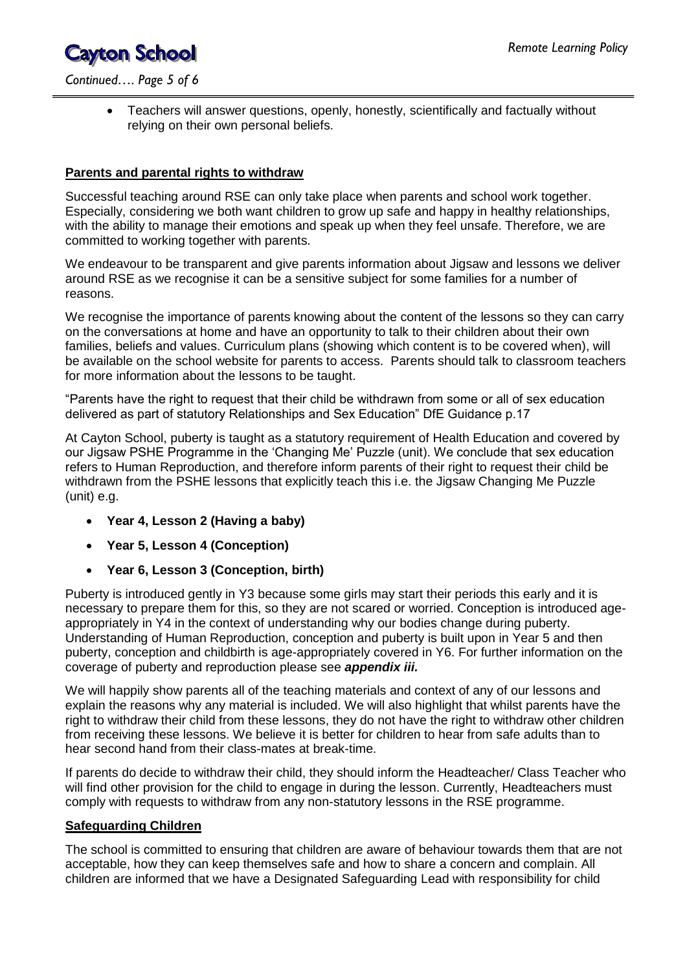*Continued…. Page 5 of 6*

 Teachers will answer questions, openly, honestly, scientifically and factually without relying on their own personal beliefs.

### **Parents and parental rights to withdraw**

Successful teaching around RSE can only take place when parents and school work together. Especially, considering we both want children to grow up safe and happy in healthy relationships, with the ability to manage their emotions and speak up when they feel unsafe. Therefore, we are committed to working together with parents.

We endeavour to be transparent and give parents information about Jigsaw and lessons we deliver around RSE as we recognise it can be a sensitive subject for some families for a number of reasons.

We recognise the importance of parents knowing about the content of the lessons so they can carry on the conversations at home and have an opportunity to talk to their children about their own families, beliefs and values. Curriculum plans (showing which content is to be covered when), will be available on the school website for parents to access. Parents should talk to classroom teachers for more information about the lessons to be taught.

"Parents have the right to request that their child be withdrawn from some or all of sex education delivered as part of statutory Relationships and Sex Education" DfE Guidance p.17

At Cayton School, puberty is taught as a statutory requirement of Health Education and covered by our Jigsaw PSHE Programme in the 'Changing Me' Puzzle (unit). We conclude that sex education refers to Human Reproduction, and therefore inform parents of their right to request their child be withdrawn from the PSHE lessons that explicitly teach this i.e. the Jigsaw Changing Me Puzzle (unit) e.g.

- **Year 4, Lesson 2 (Having a baby)**
- **Year 5, Lesson 4 (Conception)**
- **Year 6, Lesson 3 (Conception, birth)**

Puberty is introduced gently in Y3 because some girls may start their periods this early and it is necessary to prepare them for this, so they are not scared or worried. Conception is introduced ageappropriately in Y4 in the context of understanding why our bodies change during puberty. Understanding of Human Reproduction, conception and puberty is built upon in Year 5 and then puberty, conception and childbirth is age-appropriately covered in Y6. For further information on the coverage of puberty and reproduction please see *appendix iii.*

We will happily show parents all of the teaching materials and context of any of our lessons and explain the reasons why any material is included. We will also highlight that whilst parents have the right to withdraw their child from these lessons, they do not have the right to withdraw other children from receiving these lessons. We believe it is better for children to hear from safe adults than to hear second hand from their class-mates at break-time.

If parents do decide to withdraw their child, they should inform the Headteacher/ Class Teacher who will find other provision for the child to engage in during the lesson. Currently, Headteachers must comply with requests to withdraw from any non-statutory lessons in the RSE programme.

### **Safeguarding Children**

The school is committed to ensuring that children are aware of behaviour towards them that are not acceptable, how they can keep themselves safe and how to share a concern and complain. All children are informed that we have a Designated Safeguarding Lead with responsibility for child